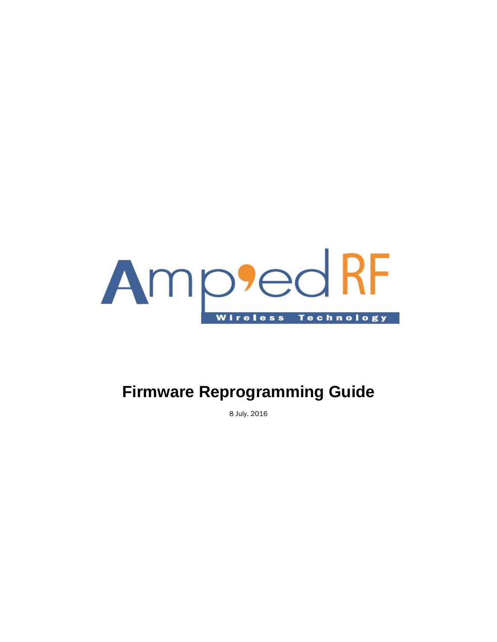

# **Firmware Reprogramming Guide**

8 July. 2016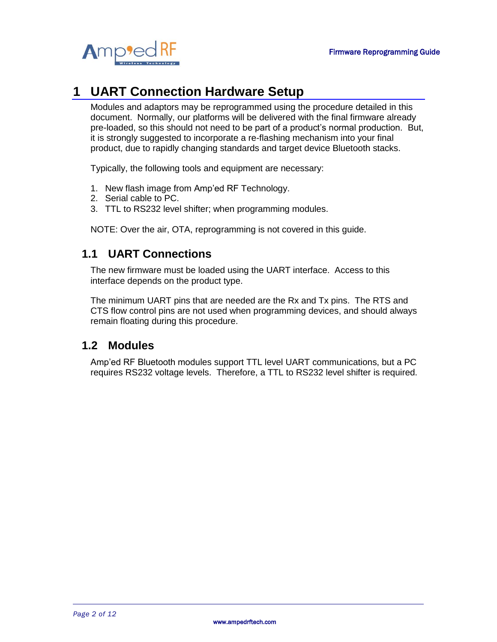

## **1 UART Connection Hardware Setup**

Modules and adaptors may be reprogrammed using the procedure detailed in this document. Normally, our platforms will be delivered with the final firmware already pre-loaded, so this should not need to be part of a product's normal production. But, it is strongly suggested to incorporate a re-flashing mechanism into your final product, due to rapidly changing standards and target device Bluetooth stacks.

Typically, the following tools and equipment are necessary:

- 1. New flash image from Amp'ed RF Technology.
- 2. Serial cable to PC.
- 3. TTL to RS232 level shifter; when programming modules.

NOTE: Over the air, OTA, reprogramming is not covered in this guide.

#### **1.1 UART Connections**

The new firmware must be loaded using the UART interface. Access to this interface depends on the product type.

The minimum UART pins that are needed are the Rx and Tx pins. The RTS and CTS flow control pins are not used when programming devices, and should always remain floating during this procedure.

#### **1.2 Modules**

Amp'ed RF Bluetooth modules support TTL level UART communications, but a PC requires RS232 voltage levels. Therefore, a TTL to RS232 level shifter is required.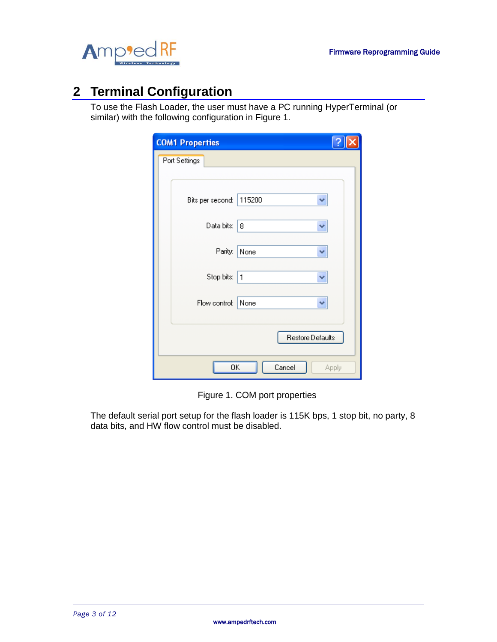



## **2 Terminal Configuration**

To use the Flash Loader, the user must have a PC running HyperTerminal (or similar) with the following configuration in Figure 1.

| <b>COM1 Properties</b> |        |        |       |  |
|------------------------|--------|--------|-------|--|
| Port Settings          |        |        |       |  |
|                        |        |        |       |  |
| Bits per second:       | 115200 |        |       |  |
| Data bits:             | 8      |        |       |  |
| Parity:                | None   |        |       |  |
| Stop bits:             | 1      |        |       |  |
| Flow control:          | None   |        |       |  |
| Restore Defaults       |        |        |       |  |
| ΟK                     |        | Cancel | Apply |  |

Figure 1. COM port properties

The default serial port setup for the flash loader is 115K bps, 1 stop bit, no party, 8 data bits, and HW flow control must be disabled.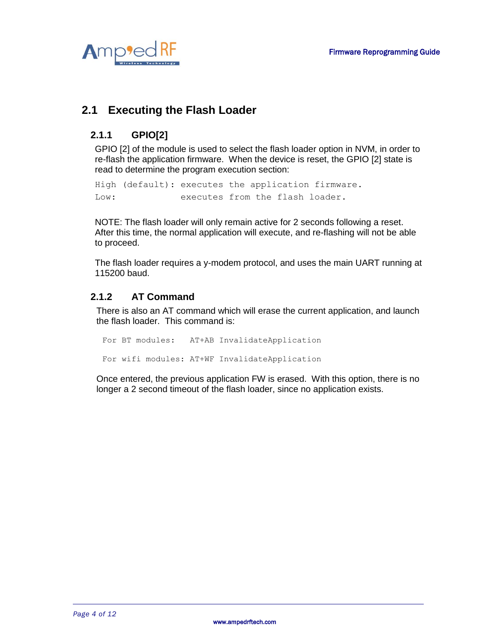

## **2.1 Executing the Flash Loader**

#### **2.1.1 GPIO[2]**

GPIO [2] of the module is used to select the flash loader option in NVM, in order to re-flash the application firmware. When the device is reset, the GPIO [2] state is read to determine the program execution section:

High (default): executes the application firmware. Low: executes from the flash loader.

NOTE: The flash loader will only remain active for 2 seconds following a reset. After this time, the normal application will execute, and re-flashing will not be able to proceed.

The flash loader requires a y-modem protocol, and uses the main UART running at 115200 baud.

#### **2.1.2 AT Command**

There is also an AT command which will erase the current application, and launch the flash loader. This command is:

For BT modules: AT+AB InvalidateApplication For wifi modules: AT+WF InvalidateApplication

Once entered, the previous application FW is erased. With this option, there is no longer a 2 second timeout of the flash loader, since no application exists.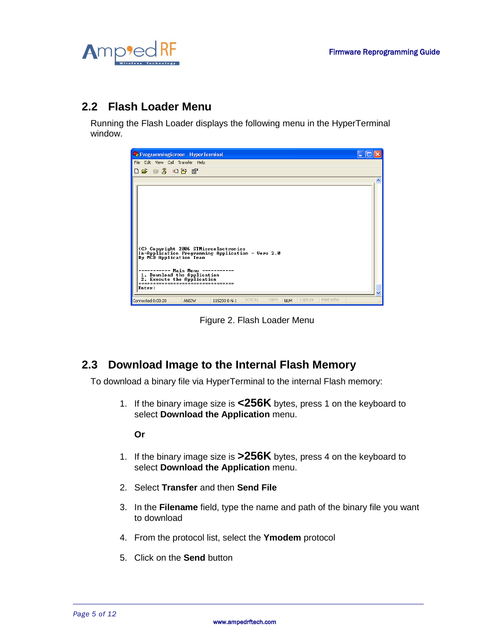

### **2.2 Flash Loader Menu**

Running the Flash Loader displays the following menu in the HyperTerminal window.



Figure 2. Flash Loader Menu

## **2.3 Download Image to the Internal Flash Memory**

To download a binary file via HyperTerminal to the internal Flash memory:

1. If the binary image size is **<256K** bytes, press 1 on the keyboard to select **Download the Application** menu.

**Or**

- 1. If the binary image size is **>256K** bytes, press 4 on the keyboard to select **Download the Application** menu.
- 2. Select **Transfer** and then **Send File**
- 3. In the **Filename** field, type the name and path of the binary file you want to download
- 4. From the protocol list, select the **Ymodem** protocol
- 5. Click on the **Send** button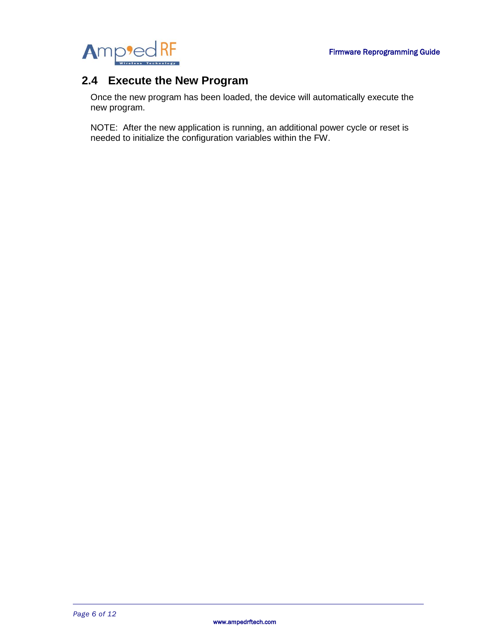

### **2.4 Execute the New Program**

Once the new program has been loaded, the device will automatically execute the new program.

NOTE: After the new application is running, an additional power cycle or reset is needed to initialize the configuration variables within the FW.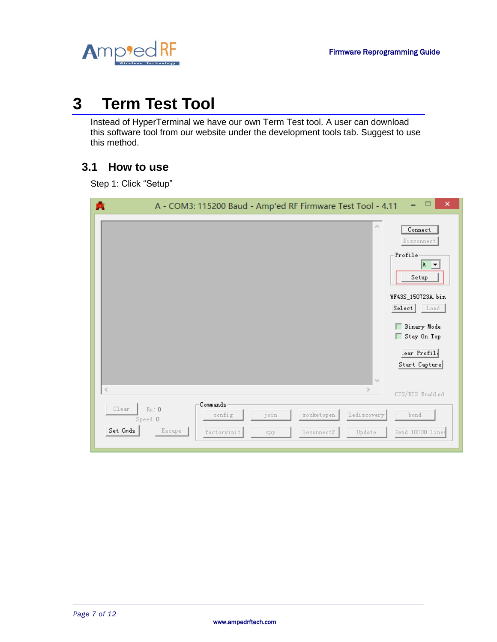

# **3 Term Test Tool**

Instead of HyperTerminal we have our own Term Test tool. A user can download this software tool from our website under the development tools tab. Suggest to use this method.

## **3.1 How to use**

Step 1: Click "Setup"

| 噟                             | A - COM3: 115200 Baud - Amp'ed RF Firmware Test Tool - 4.11                                                              | $\Box$<br>×                                                                                                                                                       |
|-------------------------------|--------------------------------------------------------------------------------------------------------------------------|-------------------------------------------------------------------------------------------------------------------------------------------------------------------|
|                               | $\rho_{\rm 1}$<br>$\lambda_{\rm Q} t$                                                                                    | Connect<br>Disconnect<br>-Profile<br>$A \neq$<br>${\tt Setup}$<br>WF43S_150723A.bin<br>Select Load<br>Binary Mode<br>Stay On Top<br>.ear Profil.<br>Start Capture |
| $\leq$                        | $\geq$                                                                                                                   | CTS/RTS Enabled                                                                                                                                                   |
| C1ear<br>Speed: 0<br>Set Cmds | Commands<br>Rx: 0<br>lediscovery<br>join<br>socketopen<br>config<br>Escape<br>factoryinit<br>leconnect2<br>Update<br>spp | bond<br>Send 10000 lines                                                                                                                                          |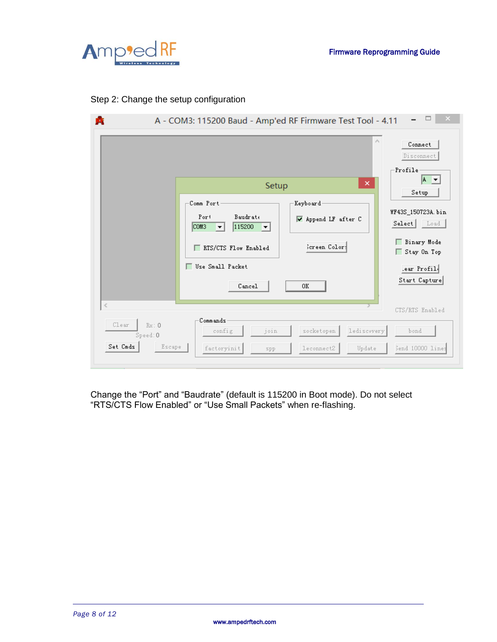

#### Step 2: Change the setup configuration

|                                                          | A - COM3: 115200 Baud - Amp'ed RF Firmware Test Tool - 4.11<br>×<br>Setup<br>Comm Port<br>Keyboard<br>Baudrate<br>Port<br>V Append LF after C<br>COM3<br>115200<br>$\vert \mathbf{v} \vert$<br>$\vert$<br>Screen Color:<br>KIS/CIS Flow Enabled<br>Use Small Packet | $\Box$<br>$\times$<br>Α<br>Connect<br>Disconnect<br>-Profile<br>$ A - \mathbf{v} $<br>Setup<br>WF43S_150723A.bin<br>Select Load<br>Binary Mode<br>Stay On Top |
|----------------------------------------------------------|---------------------------------------------------------------------------------------------------------------------------------------------------------------------------------------------------------------------------------------------------------------------|---------------------------------------------------------------------------------------------------------------------------------------------------------------|
|                                                          | Cancel<br>0K                                                                                                                                                                                                                                                        | ear Profil.<br>Start Capture                                                                                                                                  |
| $\,<$<br>Clear<br>Rx:0<br>Speed: 0<br>Set Cmds<br>Escape | Commands<br>join<br>lediscovery<br>config<br>socketopen<br>factoryinit<br>leconnect2<br>Update<br>spp                                                                                                                                                               | CTS/RTS Enabled<br>bond<br>Send 10000 lines                                                                                                                   |

Change the "Port" and "Baudrate" (default is 115200 in Boot mode). Do not select "RTS/CTS Flow Enabled" or "Use Small Packets" when re-flashing.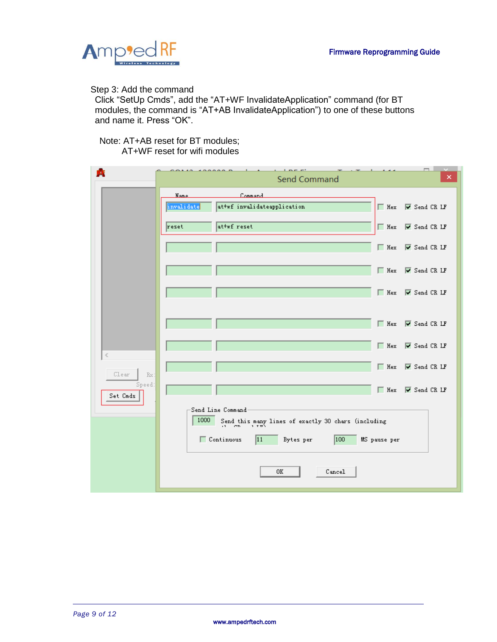

Step 3: Add the command

Click "SetUp Cmds", add the "AT+WF InvalidateApplication" command (for BT modules, the command is "AT+AB InvalidateApplication") to one of these buttons and name it. Press "OK".

Note: AT+AB reset for BT modules; AT+WF reset for wifi modules

|                    | $\cdots$                  | <b>Line et</b><br>Send Command                                                                                                                 |              | o l<br>$\pmb{\times}$                 |
|--------------------|---------------------------|------------------------------------------------------------------------------------------------------------------------------------------------|--------------|---------------------------------------|
|                    | <b>Name</b><br>invalidate | Command<br>attwf invalidateapplication                                                                                                         | $\Box$ Hex   | V Send CR LF                          |
|                    | reset                     | at+wf reset                                                                                                                                    | $\Box$ Hex   | $\overline{\triangledown}$ Send CR LF |
|                    |                           |                                                                                                                                                | $\Box$ Hex   | $\overline{\triangledown}$ Send CR LF |
|                    |                           |                                                                                                                                                | $\Box$ Hex   | $\overline{\triangledown}$ Send CR LF |
|                    |                           |                                                                                                                                                | $\Box$ Hex   | $\overline{\triangledown}$ Send CR LF |
|                    |                           |                                                                                                                                                | $\Box$ Hex   | V Send CR LF                          |
| ∢                  |                           |                                                                                                                                                | $\Box$ Hex   | $\overline{\triangledown}$ Send CR LF |
| Clear<br>Rx:       |                           |                                                                                                                                                | $\Box$ Hex   | $\overline{\triangledown}$ Send CR LF |
| Speed:<br>Set Cmds |                           |                                                                                                                                                | $\Box$ Hex   | $\overline{\triangledown}$ Send CR LF |
|                    | 1000                      | Send Line Command<br>Send this many lines of exactly 30 chars (including<br>$\therefore$ CD = 1.72)<br>Continuous<br> 11<br> 100 <br>Bytes per | MS pause per |                                       |
|                    |                           | Cancel<br>0K                                                                                                                                   |              |                                       |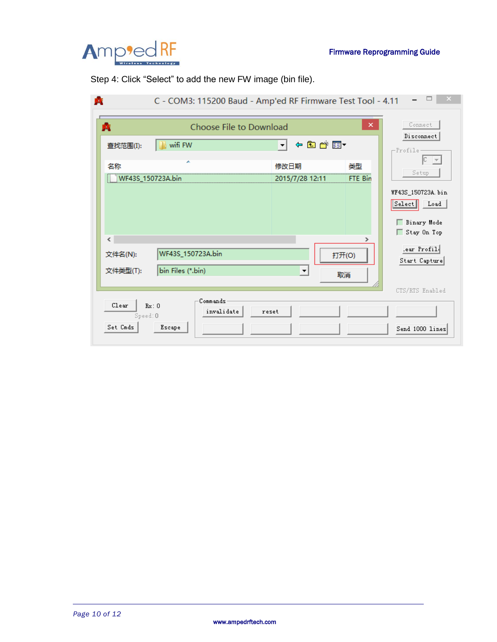

Step 4: Click "Select" to add the new FW image (bin file).

| КŒ                   |                                                  | C - COM3: 115200 Baud - Amp'ed RF Firmware Test Tool - 4.11 |                                                 |
|----------------------|--------------------------------------------------|-------------------------------------------------------------|-------------------------------------------------|
| Ŕ.                   | $\boldsymbol{\times}$<br>Choose File to Download |                                                             |                                                 |
| 查找范围(I):             | wifi FW                                          | ←自合画▼<br>∼∣                                                 | Disconnect<br>-Profile                          |
| 名称                   | ×<br>WF43S 150723A.bin                           | 类型<br>修改日期<br>FTE Bin<br>2015/7/28 12:11                    | $ C - \rangle$<br>Setup                         |
|                      |                                                  |                                                             | WF43S_150723A.bin<br>S <sub>elect</sub><br>Load |
| ∢                    |                                                  |                                                             | □ Binary Mode<br>Stay On Top                    |
| 文件名(N):<br>文件类型(T):  | WF43S_150723A.bin<br>bin Files (*.bin)           | 打开(O)<br>$\blacktriangledown$<br>取消                         | .ear Profil.<br>Start Capture                   |
| Clear                | Commands<br>Rx: 0<br>invalidate                  | reset                                                       | CTS/RTS Enabled                                 |
| Speed: 0<br>Set Cmds | Escape                                           |                                                             | Send 1000 lines                                 |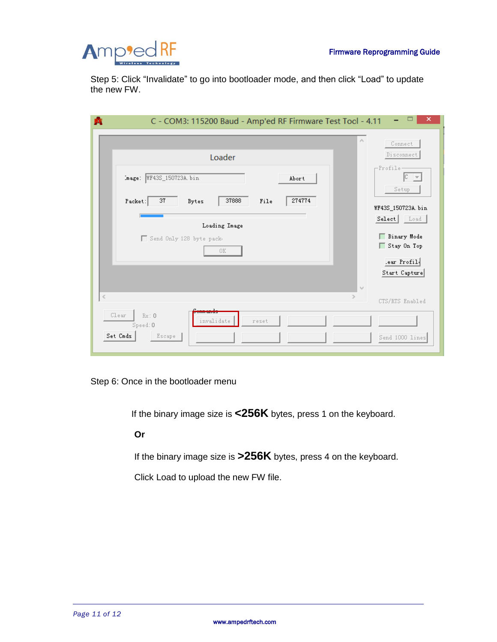

Step 5: Click "Invalidate" to go into bootloader mode, and then click "Load" to update the new FW.

| ×<br>C - COM3: 115200 Baud - Amp'ed RF Firmware Test Tool - 4.11                                                                                                                                    |                                                                                                                                                |  |  |
|-----------------------------------------------------------------------------------------------------------------------------------------------------------------------------------------------------|------------------------------------------------------------------------------------------------------------------------------------------------|--|--|
| $\mathcal{O}_2$<br>Loader<br>Image: WF43S_150723A.bin<br>Abort<br>37888<br>274774<br>37<br>Packet:<br>File<br>Bytes<br>Loading Image<br>Send Only 128 byte pack<br><b>OK</b><br>$\epsilon_{\rm sf}$ | Connect<br>Disconnect<br>-Profile-<br>Setup<br>WF43S_150723A.bin<br>Select Load<br>Binary Mode<br>Stay On Top<br>lear Profil.<br>Start Capture |  |  |
| $\leq$<br>$\rightarrow$<br>Clear<br>Rx:0<br>invalidate<br>reset                                                                                                                                     | CTS/RTS Enabled                                                                                                                                |  |  |
| Speed: 0<br>Set Cmds<br>Escape                                                                                                                                                                      | Send 1000 lines                                                                                                                                |  |  |

Step 6: Once in the bootloader menu

If the binary image size is **<256K** bytes, press 1 on the keyboard.

#### **Or**

If the binary image size is **>256K** bytes, press 4 on the keyboard.

Click Load to upload the new FW file.